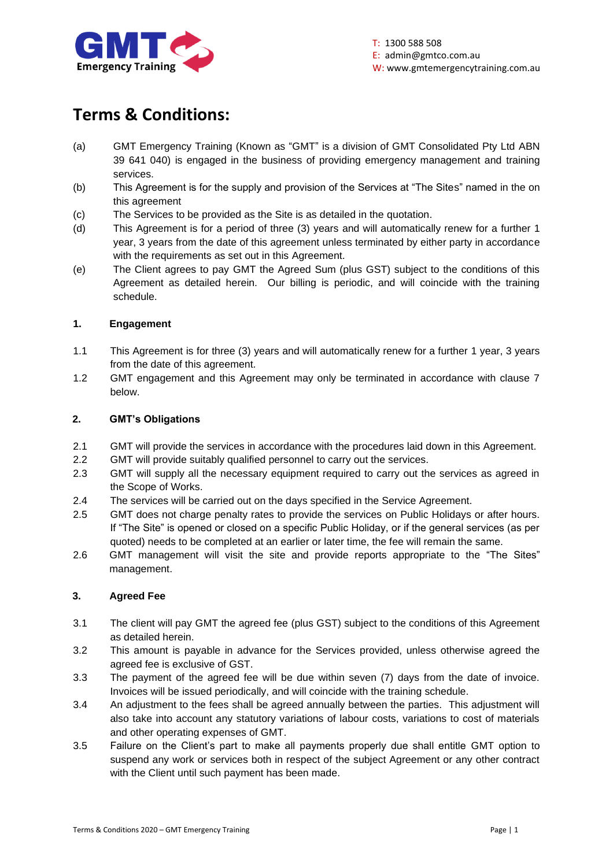

# **Terms & Conditions:**

- (a) GMT Emergency Training (Known as "GMT" is a division of GMT Consolidated Pty Ltd ABN 39 641 040) is engaged in the business of providing emergency management and training services.
- (b) This Agreement is for the supply and provision of the Services at "The Sites" named in the on this agreement
- (c) The Services to be provided as the Site is as detailed in the quotation.
- (d) This Agreement is for a period of three (3) years and will automatically renew for a further 1 year, 3 years from the date of this agreement unless terminated by either party in accordance with the requirements as set out in this Agreement.
- (e) The Client agrees to pay GMT the Agreed Sum (plus GST) subject to the conditions of this Agreement as detailed herein. Our billing is periodic, and will coincide with the training schedule.

## **1. Engagement**

- 1.1 This Agreement is for three (3) years and will automatically renew for a further 1 year, 3 years from the date of this agreement.
- 1.2 GMT engagement and this Agreement may only be terminated in accordance with clause 7 below.

## **2. GMT's Obligations**

- 2.1 GMT will provide the services in accordance with the procedures laid down in this Agreement.
- 2.2 GMT will provide suitably qualified personnel to carry out the services.
- 2.3 GMT will supply all the necessary equipment required to carry out the services as agreed in the Scope of Works.
- 2.4 The services will be carried out on the days specified in the Service Agreement.
- 2.5 GMT does not charge penalty rates to provide the services on Public Holidays or after hours. If "The Site" is opened or closed on a specific Public Holiday, or if the general services (as per quoted) needs to be completed at an earlier or later time, the fee will remain the same.
- 2.6 GMT management will visit the site and provide reports appropriate to the "The Sites" management.

## **3. Agreed Fee**

- 3.1 The client will pay GMT the agreed fee (plus GST) subject to the conditions of this Agreement as detailed herein.
- 3.2 This amount is payable in advance for the Services provided, unless otherwise agreed the agreed fee is exclusive of GST.
- 3.3 The payment of the agreed fee will be due within seven (7) days from the date of invoice. Invoices will be issued periodically, and will coincide with the training schedule.
- 3.4 An adjustment to the fees shall be agreed annually between the parties. This adjustment will also take into account any statutory variations of labour costs, variations to cost of materials and other operating expenses of GMT.
- 3.5 Failure on the Client's part to make all payments properly due shall entitle GMT option to suspend any work or services both in respect of the subject Agreement or any other contract with the Client until such payment has been made.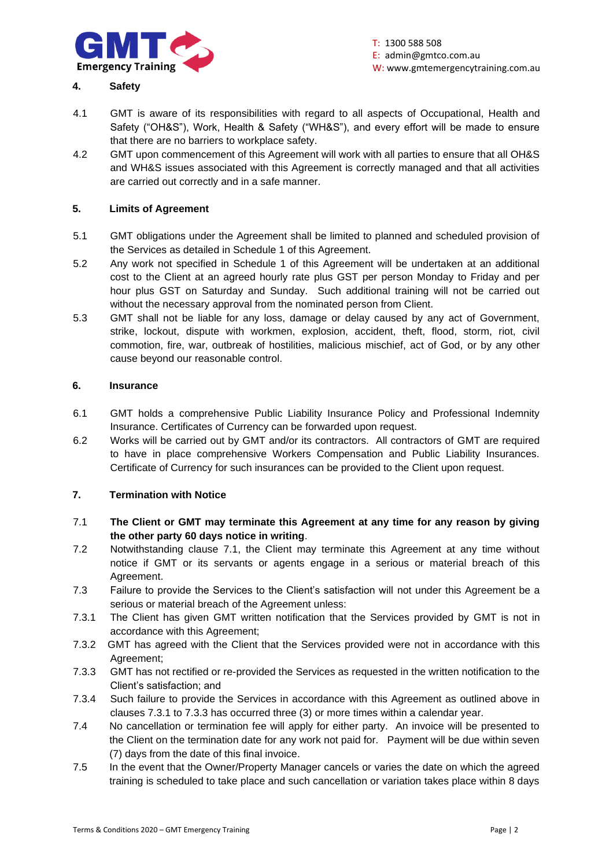

## **4. Safety**

- 4.1 GMT is aware of its responsibilities with regard to all aspects of Occupational, Health and Safety ("OH&S"), Work, Health & Safety ("WH&S"), and every effort will be made to ensure that there are no barriers to workplace safety.
- 4.2 GMT upon commencement of this Agreement will work with all parties to ensure that all OH&S and WH&S issues associated with this Agreement is correctly managed and that all activities are carried out correctly and in a safe manner.

## **5. Limits of Agreement**

- 5.1 GMT obligations under the Agreement shall be limited to planned and scheduled provision of the Services as detailed in Schedule 1 of this Agreement.
- 5.2 Any work not specified in Schedule 1 of this Agreement will be undertaken at an additional cost to the Client at an agreed hourly rate plus GST per person Monday to Friday and per hour plus GST on Saturday and Sunday. Such additional training will not be carried out without the necessary approval from the nominated person from Client.
- 5.3 GMT shall not be liable for any loss, damage or delay caused by any act of Government, strike, lockout, dispute with workmen, explosion, accident, theft, flood, storm, riot, civil commotion, fire, war, outbreak of hostilities, malicious mischief, act of God, or by any other cause beyond our reasonable control.

## **6. Insurance**

- 6.1 GMT holds a comprehensive Public Liability Insurance Policy and Professional Indemnity Insurance. Certificates of Currency can be forwarded upon request.
- 6.2 Works will be carried out by GMT and/or its contractors. All contractors of GMT are required to have in place comprehensive Workers Compensation and Public Liability Insurances. Certificate of Currency for such insurances can be provided to the Client upon request.

## **7. Termination with Notice**

- 7.1 **The Client or GMT may terminate this Agreement at any time for any reason by giving the other party 60 days notice in writing**.
- 7.2 Notwithstanding clause 7.1, the Client may terminate this Agreement at any time without notice if GMT or its servants or agents engage in a serious or material breach of this Agreement.
- 7.3 Failure to provide the Services to the Client's satisfaction will not under this Agreement be a serious or material breach of the Agreement unless:
- 7.3.1 The Client has given GMT written notification that the Services provided by GMT is not in accordance with this Agreement;
- 7.3.2 GMT has agreed with the Client that the Services provided were not in accordance with this Agreement;
- 7.3.3 GMT has not rectified or re-provided the Services as requested in the written notification to the Client's satisfaction; and
- 7.3.4 Such failure to provide the Services in accordance with this Agreement as outlined above in clauses 7.3.1 to 7.3.3 has occurred three (3) or more times within a calendar year.
- 7.4 No cancellation or termination fee will apply for either party. An invoice will be presented to the Client on the termination date for any work not paid for. Payment will be due within seven (7) days from the date of this final invoice.
- 7.5 In the event that the Owner/Property Manager cancels or varies the date on which the agreed training is scheduled to take place and such cancellation or variation takes place within 8 days